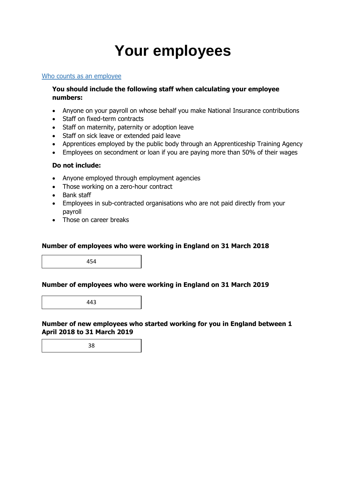# **Your employees**

#### Who counts as an employee

### **You should include the following staff when calculating your employee numbers:**

- Anyone on your payroll on whose behalf you make National Insurance contributions
- Staff on fixed-term contracts
- Staff on maternity, paternity or adoption leave
- Staff on sick leave or extended paid leave
- Apprentices employed by the public body through an Apprenticeship Training Agency
- Employees on secondment or loan if you are paying more than 50% of their wages

### **Do not include:**

- Anyone employed through employment agencies
- Those working on a zero-hour contract
- Bank staff
- Employees in sub-contracted organisations who are not paid directly from your payroll
- Those on career breaks

### **Number of employees who were working in England on 31 March 2018**

454

#### **Number of employees who were working in England on 31 March 2019**

443

**Number of new employees who started working for you in England between 1 April 2018 to 31 March 2019**

38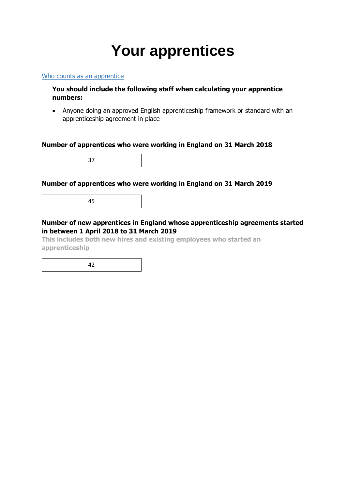# **Your apprentices**

Who counts as an apprentice

### **You should include the following staff when calculating your apprentice numbers:**

• Anyone doing an approved English apprenticeship framework or standard with an apprenticeship agreement in place

#### **Number of apprentices who were working in England on 31 March 2018**

37

### **Number of apprentices who were working in England on 31 March 2019**

45

## **Number of new apprentices in England whose apprenticeship agreements started in between 1 April 2018 to 31 March 2019**

**This includes both new hires and existing employees who started an apprenticeship**

42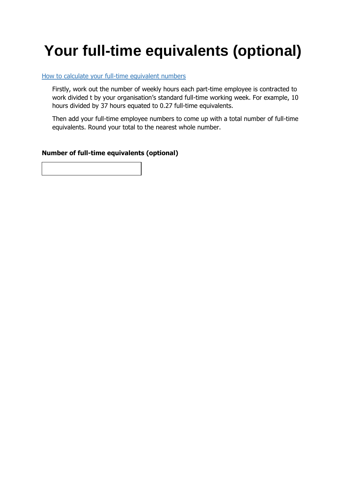# **Your full-time equivalents (optional)**

### How to calculate your full-time equivalent numbers

Firstly, work out the number of weekly hours each part-time employee is contracted to work divided t by your organisation's standard full-time working week. For example, 10 hours divided by 37 hours equated to 0.27 full-time equivalents.

Then add your full-time employee numbers to come up with a total number of full-time equivalents. Round your total to the nearest whole number.

### **Number of full-time equivalents (optional)**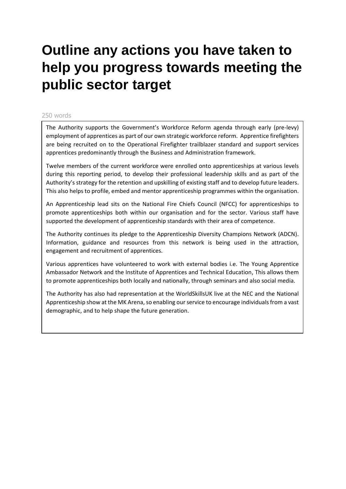# **Outline any actions you have taken to help you progress towards meeting the public sector target**

#### 250 words

The Authority supports the Government's Workforce Reform agenda through early (pre-levy) employment of apprentices as part of our own strategic workforce reform. Apprentice firefighters are being recruited on to the Operational Firefighter trailblazer standard and support services apprentices predominantly through the Business and Administration framework.

Twelve members of the current workforce were enrolled onto apprenticeships at various levels during this reporting period, to develop their professional leadership skills and as part of the Authority's strategy for the retention and upskilling of existing staff and to develop future leaders. This also helps to profile, embed and mentor apprenticeship programmes within the organisation.

An Apprenticeship lead sits on the National Fire Chiefs Council (NFCC) for apprenticeships to promote apprenticeships both within our organisation and for the sector. Various staff have supported the development of apprenticeship standards with their area of competence.

The Authority continues its pledge to the Apprenticeship Diversity Champions Network (ADCN). Information, guidance and resources from this network is being used in the attraction, engagement and recruitment of apprentices.

Various apprentices have volunteered to work with external bodies i.e. The Young Apprentice Ambassador Network and the Institute of Apprentices and Technical Education, This allows them to promote apprenticeships both locally and nationally, through seminars and also social media.

The Authority has also had representation at the WorldSkillsUK live at the NEC and the National Apprenticeship show at the MK Arena, so enabling ourservice to encourage individuals from a vast demographic, and to help shape the future generation.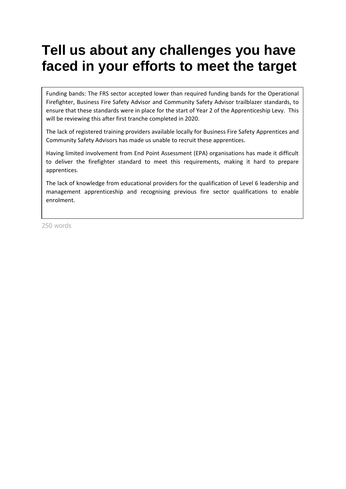# **Tell us about any challenges you have faced in your efforts to meet the target**

Funding bands: The FRS sector accepted lower than required funding bands for the Operational Firefighter, Business Fire Safety Advisor and Community Safety Advisor trailblazer standards, to ensure that these standards were in place for the start of Year 2 of the Apprenticeship Levy. This will be reviewing this after first tranche completed in 2020.

The lack of registered training providers available locally for Business Fire Safety Apprentices and Community Safety Advisors has made us unable to recruit these apprentices.

Having limited involvement from End Point Assessment (EPA) organisations has made it difficult to deliver the firefighter standard to meet this requirements, making it hard to prepare apprentices.

The lack of knowledge from educational providers for the qualification of Level 6 leadership and management apprenticeship and recognising previous fire sector qualifications to enable enrolment.

250 words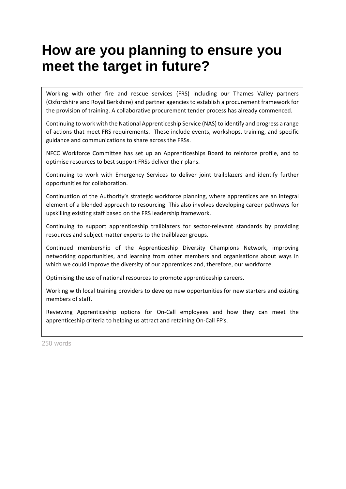# **How are you planning to ensure you meet the target in future?**

Working with other fire and rescue services (FRS) including our Thames Valley partners (Oxfordshire and Royal Berkshire) and partner agencies to establish a procurement framework for the provision of training. A collaborative procurement tender process has already commenced.

Continuing to work with the National Apprenticeship Service (NAS) to identify and progress a range of actions that meet FRS requirements. These include events, workshops, training, and specific guidance and communications to share across the FRSs.

NFCC Workforce Committee has set up an Apprenticeships Board to reinforce profile, and to optimise resources to best support FRSs deliver their plans.

Continuing to work with Emergency Services to deliver joint trailblazers and identify further opportunities for collaboration.

Continuation of the Authority's strategic workforce planning, where apprentices are an integral element of a blended approach to resourcing. This also involves developing career pathways for upskilling existing staff based on the FRS leadership framework.

Continuing to support apprenticeship trailblazers for sector-relevant standards by providing resources and subject matter experts to the trailblazer groups.

Continued membership of the Apprenticeship Diversity Champions Network, improving networking opportunities, and learning from other members and organisations about ways in which we could improve the diversity of our apprentices and, therefore, our workforce.

Optimising the use of national resources to promote apprenticeship careers.

Working with local training providers to develop new opportunities for new starters and existing members of staff.

Reviewing Apprenticeship options for On-Call employees and how they can meet the apprenticeship criteria to helping us attract and retaining On-Call FF's.

250 words